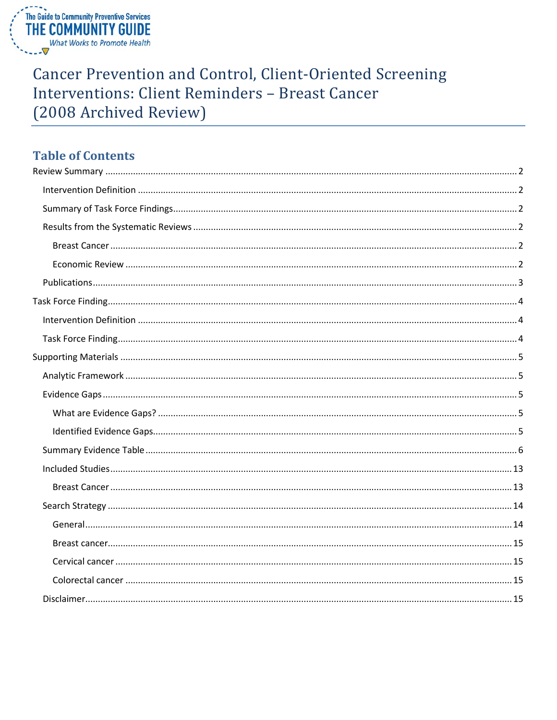

## **Cancer Prevention and Control, Client-Oriented Screening** Interventions: Client Reminders - Breast Cancer (2008 Archived Review)

## **Table of Contents**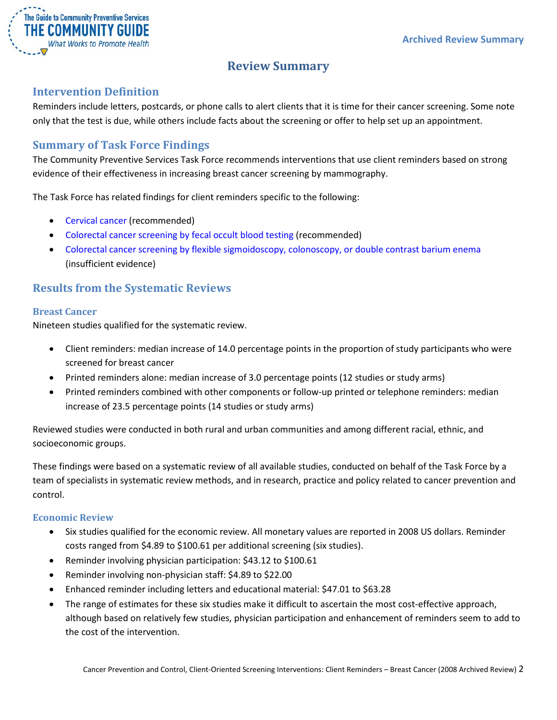

## **Review Summary**

#### <span id="page-1-1"></span><span id="page-1-0"></span>**Intervention Definition**

Reminders include letters, postcards, or phone calls to alert clients that it is time for their cancer screening. Some note only that the test is due, while others include facts about the screening or offer to help set up an appointment.

#### <span id="page-1-2"></span>**Summary of Task Force Findings**

The Community Preventive Services Task Force recommends interventions that use client reminders based on strong evidence of their effectiveness in increasing breast cancer screening by mammography.

The Task Force has related findings for client reminders specific to the following:

- Cervical cancer (recommended)
- Colorectal cancer screening by fecal occult blood testing (recommended)
- Colorectal cancer screening by flexible sigmoidoscopy, colonoscopy, or double contrast barium enema (insufficient evidence)

#### <span id="page-1-3"></span>**Results from the Systematic Reviews**

#### <span id="page-1-4"></span>**Breast Cancer**

Nineteen studies qualified for the systematic review.

- Client reminders: median increase of 14.0 percentage points in the proportion of study participants who were screened for breast cancer
- Printed reminders alone: median increase of 3.0 percentage points (12 studies or study arms)
- Printed reminders combined with other components or follow-up printed or telephone reminders: median increase of 23.5 percentage points (14 studies or study arms)

Reviewed studies were conducted in both rural and urban communities and among different racial, ethnic, and socioeconomic groups.

These findings were based on a systematic review of all available studies, conducted on behalf of the Task Force by a team of specialists in systematic review methods, and in research, practice and policy related to cancer prevention and control.

#### <span id="page-1-5"></span>**Economic Review**

- Six studies qualified for the economic review. All monetary values are reported in 2008 US dollars. Reminder costs ranged from \$4.89 to \$100.61 per additional screening (six studies).
- Reminder involving physician participation: \$43.12 to \$100.61
- Reminder involving non-physician staff: \$4.89 to \$22.00
- Enhanced reminder including letters and educational material: \$47.01 to \$63.28
- The range of estimates for these six studies make it difficult to ascertain the most cost-effective approach, although based on relatively few studies, physician participation and enhancement of reminders seem to add to the cost of the intervention.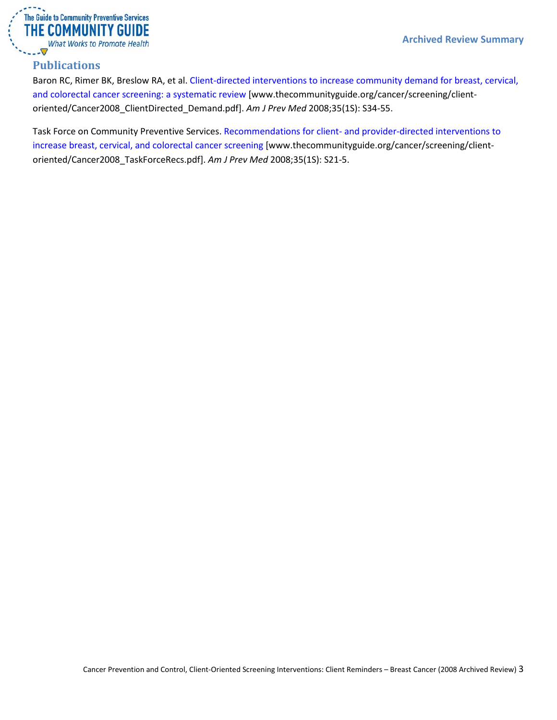

#### <span id="page-2-0"></span>**Publications**

Baron RC, Rimer BK, Breslow RA, et al. [Client-directed interventions to increase community demand for breast, cervical,](http://www.thecommunityguide.org/cancer/screening/client-oriented/Cancer2008_ClientDirected_Demand.pdf)  [and colorectal cancer screening: a systematic review](http://www.thecommunityguide.org/cancer/screening/client-oriented/Cancer2008_ClientDirected_Demand.pdf) [www.thecommunityguide.org/cancer/screening/clientoriented/Cancer2008\_ClientDirected\_Demand.pdf]. *Am J Prev Med* 2008;35(1S): S34-55.

Task Force on Community Preventive Services. Recommendations for client- [and provider-directed interventions to](http://www.thecommunityguide.org/cancer/screening/client-oriented/Cancer2008_TaskForceRecs.pdf)  [increase breast, cervical, and colorectal cancer screening](http://www.thecommunityguide.org/cancer/screening/client-oriented/Cancer2008_TaskForceRecs.pdf) [www.thecommunityguide.org/cancer/screening/clientoriented/Cancer2008\_TaskForceRecs.pdf]. *Am J Prev Med* 2008;35(1S): S21-5.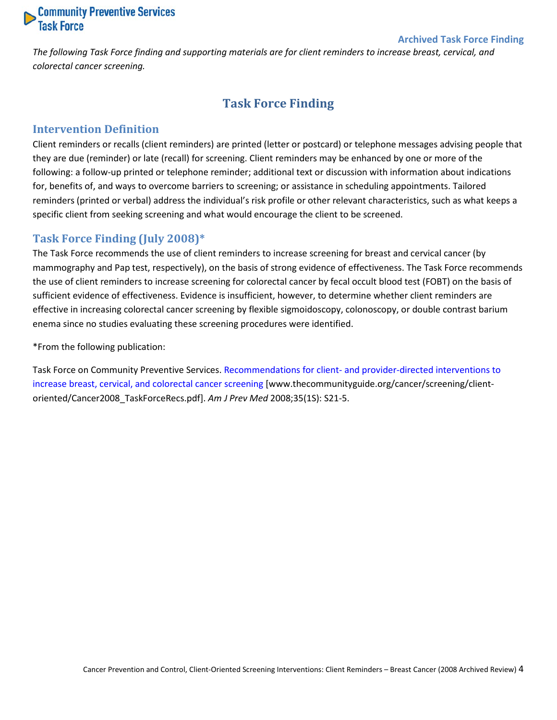# **Community Preventive Services**<br>Task Force

#### **Archived Task Force Finding**

<span id="page-3-0"></span>*The following Task Force finding and supporting materials are for client reminders to increase breast, cervical, and colorectal cancer screening.*

## **Task Force Finding**

#### <span id="page-3-1"></span>**Intervention Definition**

Client reminders or recalls (client reminders) are printed (letter or postcard) or telephone messages advising people that they are due (reminder) or late (recall) for screening. Client reminders may be enhanced by one or more of the following: a follow-up printed or telephone reminder; additional text or discussion with information about indications for, benefits of, and ways to overcome barriers to screening; or assistance in scheduling appointments. Tailored reminders (printed or verbal) address the individual's risk profile or other relevant characteristics, such as what keeps a specific client from seeking screening and what would encourage the client to be screened.

#### <span id="page-3-2"></span>**Task Force Finding (July 2008)\***

The Task Force recommends the use of client reminders to increase screening for breast and cervical cancer (by mammography and Pap test, respectively), on the basis of strong evidence of effectiveness. The Task Force recommends the use of client reminders to increase screening for colorectal cancer by fecal occult blood test (FOBT) on the basis of sufficient evidence of effectiveness. Evidence is insufficient, however, to determine whether client reminders are effective in increasing colorectal cancer screening by flexible sigmoidoscopy, colonoscopy, or double contrast barium enema since no studies evaluating these screening procedures were identified.

\*From the following publication:

Task Force on Community Preventive Services. Recommendations for client- [and provider-directed interventions to](http://www.thecommunityguide.org/cancer/screening/client-oriented/Cancer2008_TaskForceRecs.pdf)  [increase breast, cervical, and colorectal cancer screening](http://www.thecommunityguide.org/cancer/screening/client-oriented/Cancer2008_TaskForceRecs.pdf) [www.thecommunityguide.org/cancer/screening/clientoriented/Cancer2008\_TaskForceRecs.pdf]. *Am J Prev Med* 2008;35(1S): S21-5.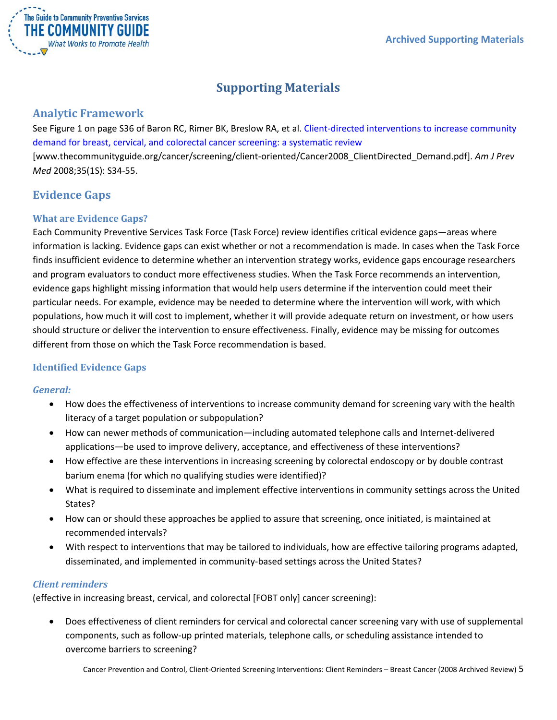

## **Supporting Materials**

#### <span id="page-4-1"></span><span id="page-4-0"></span>**Analytic Framework**

See Figure 1 on page S36 of Baron RC, Rimer BK, Breslow RA, et al. [Client-directed interventions to increase community](http://www.thecommunityguide.org/cancer/screening/client-oriented/Cancer2008_ClientDirected_Demand.pdf)  [demand for breast, cervical, and colorectal cancer screening: a systematic review](http://www.thecommunityguide.org/cancer/screening/client-oriented/Cancer2008_ClientDirected_Demand.pdf) [www.thecommunityguide.org/cancer/screening/client-oriented/Cancer2008\_ClientDirected\_Demand.pdf]. *Am J Prev Med* 2008;35(1S): S34-55.

## <span id="page-4-2"></span>**Evidence Gaps**

#### <span id="page-4-3"></span>**What are Evidence Gaps?**

Each Community Preventive Services Task Force (Task Force) review identifies critical evidence gaps—areas where information is lacking. Evidence gaps can exist whether or not a recommendation is made. In cases when the Task Force finds insufficient evidence to determine whether an intervention strategy works, evidence gaps encourage researchers and program evaluators to conduct more effectiveness studies. When the Task Force recommends an intervention, evidence gaps highlight missing information that would help users determine if the intervention could meet their particular needs. For example, evidence may be needed to determine where the intervention will work, with which populations, how much it will cost to implement, whether it will provide adequate return on investment, or how users should structure or deliver the intervention to ensure effectiveness. Finally, evidence may be missing for outcomes different from those on which the Task Force recommendation is based.

#### <span id="page-4-4"></span>**Identified Evidence Gaps**

#### *General:*

- How does the effectiveness of interventions to increase community demand for screening vary with the health literacy of a target population or subpopulation?
- How can newer methods of communication—including automated telephone calls and Internet-delivered applications—be used to improve delivery, acceptance, and effectiveness of these interventions?
- How effective are these interventions in increasing screening by colorectal endoscopy or by double contrast barium enema (for which no qualifying studies were identified)?
- What is required to disseminate and implement effective interventions in community settings across the United States?
- How can or should these approaches be applied to assure that screening, once initiated, is maintained at recommended intervals?
- With respect to interventions that may be tailored to individuals, how are effective tailoring programs adapted, disseminated, and implemented in community-based settings across the United States?

#### *Client reminders*

(effective in increasing breast, cervical, and colorectal [FOBT only] cancer screening):

• Does effectiveness of client reminders for cervical and colorectal cancer screening vary with use of supplemental components, such as follow-up printed materials, telephone calls, or scheduling assistance intended to overcome barriers to screening?

Cancer Prevention and Control, Client-Oriented Screening Interventions: Client Reminders – Breast Cancer (2008 Archived Review) 5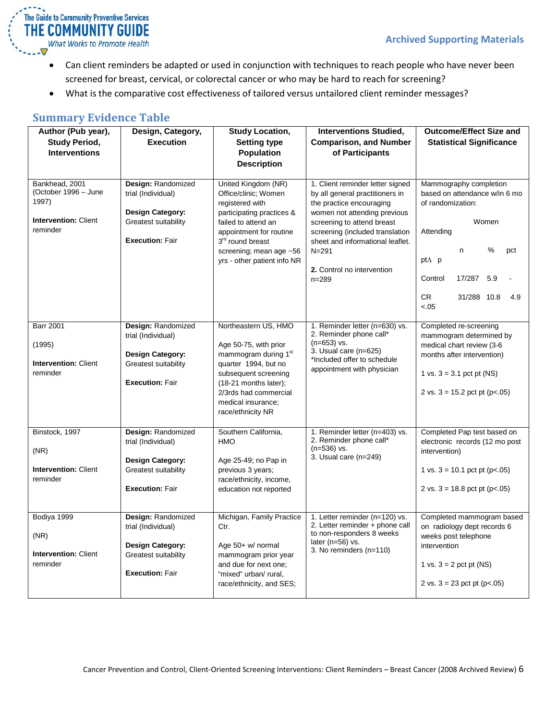

- Can client reminders be adapted or used in conjunction with techniques to reach people who have never been screened for breast, cervical, or colorectal cancer or who may be hard to reach for screening?
- What is the comparative cost effectiveness of tailored versus untailored client reminder messages?

#### <span id="page-5-0"></span>**Summary Evidence Table**

| Author (Pub year),<br><b>Study Period,</b><br><b>Interventions</b>                         | Design, Category,<br><b>Execution</b>                                                                                 | <b>Study Location,</b><br><b>Setting type</b><br><b>Population</b><br><b>Description</b>                                                                                                                                                | <b>Interventions Studied,</b><br><b>Comparison, and Number</b><br>of Participants                                                                                                                                                                                                            | <b>Outcome/Effect Size and</b><br><b>Statistical Significance</b>                                                                                                                               |
|--------------------------------------------------------------------------------------------|-----------------------------------------------------------------------------------------------------------------------|-----------------------------------------------------------------------------------------------------------------------------------------------------------------------------------------------------------------------------------------|----------------------------------------------------------------------------------------------------------------------------------------------------------------------------------------------------------------------------------------------------------------------------------------------|-------------------------------------------------------------------------------------------------------------------------------------------------------------------------------------------------|
| Bankhead, 2001<br>(October 1996 - June<br>1997)<br><b>Intervention: Client</b><br>reminder | Design: Randomized<br>trial (Individual)<br><b>Design Category:</b><br>Greatest suitability<br><b>Execution: Fair</b> | United Kingdom (NR)<br>Office/clinic; Women<br>registered with<br>participating practices &<br>failed to attend an<br>appointment for routine<br>3 <sup>rd</sup> round breast<br>screening; mean age ~56<br>yrs - other patient info NR | 1. Client reminder letter signed<br>by all general practitioners in<br>the practice encouraging<br>women not attending previous<br>screening to attend breast<br>screening (included translation<br>sheet and informational leaflet.<br>$N = 291$<br>2. Control no intervention<br>$n = 289$ | Mammography completion<br>based on attendance w/in 6 mo<br>of randomization:<br>Women<br>Attending<br>%<br>n<br>pct<br>pt∆ p<br>Control<br>17/287<br>5.9<br>CR.<br>31/288 10.8<br>4.9<br>$-.05$ |
| <b>Barr 2001</b><br>(1995)<br><b>Intervention: Client</b><br>reminder                      | Design: Randomized<br>trial (Individual)<br><b>Design Category:</b><br>Greatest suitability<br><b>Execution: Fair</b> | Northeastern US, HMO<br>Age 50-75, with prior<br>mammogram during 1 <sup>st</sup><br>quarter 1994, but no<br>subsequent screening<br>$(18-21$ months later);<br>2/3rds had commercial<br>medical insurance;<br>race/ethnicity NR        | 1. Reminder letter (n=630) vs.<br>2. Reminder phone call*<br>(n=653) vs.<br>3. Usual care (n=625)<br>*Included offer to schedule<br>appointment with physician                                                                                                                               | Completed re-screening<br>mammogram determined by<br>medical chart review (3-6<br>months after intervention)<br>1 vs. $3 = 3.1$ pct pt (NS)<br>2 vs. $3 = 15.2$ pct pt (p<.05)                  |
| Binstock, 1997<br>(NR)<br><b>Intervention: Client</b><br>reminder                          | Design: Randomized<br>trial (Individual)<br><b>Design Category:</b><br>Greatest suitability<br><b>Execution: Fair</b> | Southern California,<br>HMO<br>Age 25-49; no Pap in<br>previous 3 years;<br>race/ethnicity, income,<br>education not reported                                                                                                           | 1. Reminder letter (n=403) vs.<br>2. Reminder phone call*<br>$(n=536)$ vs.<br>3. Usual care (n=249)                                                                                                                                                                                          | Completed Pap test based on<br>electronic records (12 mo post<br>intervention)<br>1 vs. $3 = 10.1$ pct pt (p<.05)<br>2 vs. $3 = 18.8$ pct pt (p<.05)                                            |
| Bodiya 1999<br>(NR)<br><b>Intervention: Client</b><br>reminder                             | Design: Randomized<br>trial (Individual)<br><b>Design Category:</b><br>Greatest suitability<br><b>Execution: Fair</b> | Michigan, Family Practice<br>Ctr.<br>Age $50+$ w/ normal<br>mammogram prior year<br>and due for next one;<br>"mixed" urban/ rural,<br>race/ethnicity, and SES;                                                                          | 1. Letter reminder (n=120) vs.<br>2. Letter reminder + phone call<br>to non-responders 8 weeks<br>later ( $n=56$ ) vs.<br>3. No reminders (n=110)                                                                                                                                            | Completed mammogram based<br>on radiology dept records 6<br>weeks post telephone<br>intervention<br>1 vs. $3 = 2$ pct pt (NS)<br>2 vs. $3 = 23$ pct pt (p<.05)                                  |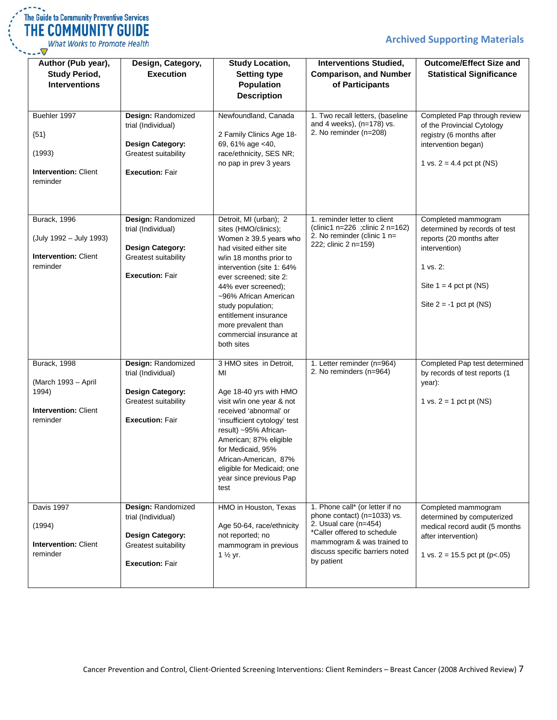| The Guide to Community Preventive Services |
|--------------------------------------------|
| THE COMMUNITY GUIDE                        |
| Ulbat Warks to Dramato Hoalth              |

What Works to Promote Health

| Author (Pub year),<br><b>Study Period,</b><br><b>Interventions</b>                      | Design, Category,<br><b>Execution</b>                                                                                 | <b>Study Location,</b><br><b>Setting type</b><br><b>Population</b><br><b>Description</b>                                                                                                                                                                                                                                                                 | <b>Interventions Studied,</b><br><b>Comparison, and Number</b><br>of Participants                                                                                                                     | <b>Outcome/Effect Size and</b><br><b>Statistical Significance</b>                                                                                                      |
|-----------------------------------------------------------------------------------------|-----------------------------------------------------------------------------------------------------------------------|----------------------------------------------------------------------------------------------------------------------------------------------------------------------------------------------------------------------------------------------------------------------------------------------------------------------------------------------------------|-------------------------------------------------------------------------------------------------------------------------------------------------------------------------------------------------------|------------------------------------------------------------------------------------------------------------------------------------------------------------------------|
| Buehler 1997<br>${51}$<br>(1993)<br><b>Intervention: Client</b><br>reminder             | Design: Randomized<br>trial (Individual)<br><b>Design Category:</b><br>Greatest suitability<br><b>Execution: Fair</b> | Newfoundland, Canada<br>2 Family Clinics Age 18-<br>69, 61% age <40,<br>race/ethnicity, SES NR;<br>no pap in prev 3 years                                                                                                                                                                                                                                | 1. Two recall letters, (baseline<br>and 4 weeks), (n=178) vs.<br>2. No reminder (n=208)                                                                                                               | Completed Pap through review<br>of the Provincial Cytology<br>registry (6 months after<br>intervention began)<br>1 vs. $2 = 4.4$ pct pt (NS)                           |
| Burack, 1996<br>(July 1992 - July 1993)<br><b>Intervention: Client</b><br>reminder      | Design: Randomized<br>trial (Individual)<br>Design Category:<br>Greatest suitability<br><b>Execution: Fair</b>        | Detroit, MI (urban); 2<br>sites (HMO/clinics);<br>Women $\geq$ 39.5 years who<br>had visited either site<br>w/in 18 months prior to<br>intervention (site 1: 64%<br>ever screened; site 2:<br>44% ever screened);<br>~96% African American<br>study population;<br>entitlement insurance<br>more prevalent than<br>commercial insurance at<br>both sites | 1. reminder letter to client<br>(clinic1 n=226 ;clinic 2 n=162)<br>2. No reminder (clinic 1 $n=$<br>222; clinic 2 n=159)                                                                              | Completed mammogram<br>determined by records of test<br>reports (20 months after<br>intervention)<br>1 vs. 2:<br>Site $1 = 4$ pct pt (NS)<br>Site $2 = -1$ pct pt (NS) |
| Burack, 1998<br>(March 1993 - April<br>1994)<br><b>Intervention: Client</b><br>reminder | Design: Randomized<br>trial (Individual)<br><b>Design Category:</b><br>Greatest suitability<br><b>Execution: Fair</b> | 3 HMO sites in Detroit,<br>MI<br>Age 18-40 yrs with HMO<br>visit w/in one year & not<br>received 'abnormal' or<br>'insufficient cytology' test<br>result) ~95% African-<br>American; 87% eligible<br>for Medicaid, 95%<br>African-American, 87%<br>eligible for Medicaid; one<br>year since previous Pap<br>test                                         | 1. Letter reminder (n=964)<br>2. No reminders (n=964)                                                                                                                                                 | Completed Pap test determined<br>by records of test reports (1<br>year):<br>1 vs. $2 = 1$ pct pt (NS)                                                                  |
| Davis 1997<br>(1994)<br><b>Intervention: Client</b><br>reminder                         | Design: Randomized<br>trial (Individual)<br><b>Design Category:</b><br>Greatest suitability<br><b>Execution: Fair</b> | HMO in Houston, Texas<br>Age 50-64, race/ethnicity<br>not reported; no<br>mammogram in previous<br>1 $\frac{1}{2}$ yr.                                                                                                                                                                                                                                   | 1. Phone call* (or letter if no<br>phone contact) (n=1033) vs.<br>2. Usual care (n=454)<br>*Caller offered to schedule<br>mammogram & was trained to<br>discuss specific barriers noted<br>by patient | Completed mammogram<br>determined by computerized<br>medical record audit (5 months<br>after intervention)<br>1 vs. $2 = 15.5$ pct pt (p<.05)                          |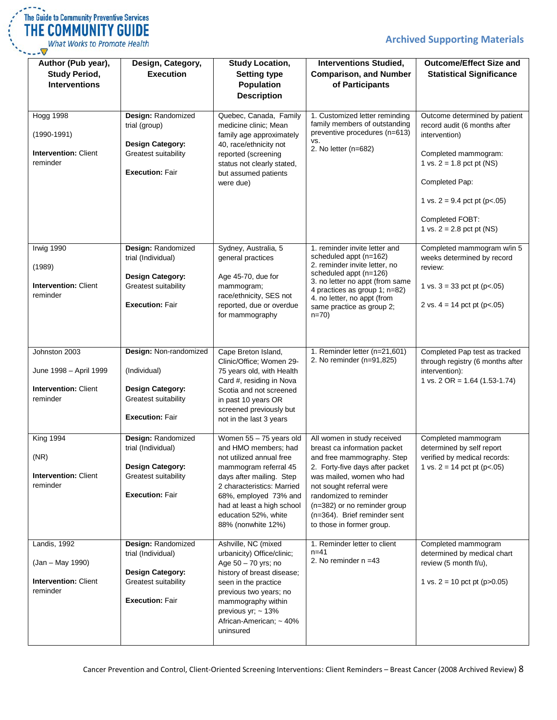

What Works to Promote Health  $\vee$ ... $\nabla$ 

| Author (Pub year),<br><b>Study Period,</b><br><b>Interventions</b>                 | Design, Category,<br><b>Execution</b>                                                                                 | <b>Study Location,</b><br><b>Setting type</b><br><b>Population</b>                                                                                                                                                                                                  | <b>Interventions Studied,</b><br><b>Comparison, and Number</b><br>of Participants                                                                                                                                                                                                                            | <b>Outcome/Effect Size and</b><br><b>Statistical Significance</b>                                                                                                                                                                           |
|------------------------------------------------------------------------------------|-----------------------------------------------------------------------------------------------------------------------|---------------------------------------------------------------------------------------------------------------------------------------------------------------------------------------------------------------------------------------------------------------------|--------------------------------------------------------------------------------------------------------------------------------------------------------------------------------------------------------------------------------------------------------------------------------------------------------------|---------------------------------------------------------------------------------------------------------------------------------------------------------------------------------------------------------------------------------------------|
|                                                                                    |                                                                                                                       | <b>Description</b>                                                                                                                                                                                                                                                  |                                                                                                                                                                                                                                                                                                              |                                                                                                                                                                                                                                             |
| <b>Hogg 1998</b><br>$(1990 - 1991)$<br><b>Intervention: Client</b><br>reminder     | Design: Randomized<br>trial (group)<br><b>Design Category:</b><br>Greatest suitability<br><b>Execution: Fair</b>      | Quebec, Canada, Family<br>medicine clinic; Mean<br>family age approximately<br>40, race/ethnicity not<br>reported (screening<br>status not clearly stated,<br>but assumed patients<br>were due)                                                                     | 1. Customized letter reminding<br>family members of outstanding<br>preventive procedures (n=613)<br>VS.<br>2. No letter (n=682)                                                                                                                                                                              | Outcome determined by patient<br>record audit (6 months after<br>intervention)<br>Completed mammogram:<br>1 vs. $2 = 1.8$ pct pt (NS)<br>Completed Pap:<br>1 vs. $2 = 9.4$ pct pt (p<.05)<br>Completed FOBT:<br>1 vs. $2 = 2.8$ pct pt (NS) |
| <b>Irwig 1990</b><br>(1989)<br><b>Intervention: Client</b><br>reminder             | Design: Randomized<br>trial (Individual)<br><b>Design Category:</b><br>Greatest suitability<br><b>Execution: Fair</b> | Sydney, Australia, 5<br>general practices<br>Age 45-70, due for<br>mammogram;<br>race/ethnicity, SES not<br>reported, due or overdue<br>for mammography                                                                                                             | 1. reminder invite letter and<br>scheduled appt (n=162)<br>2. reminder invite letter, no<br>scheduled appt (n=126)<br>3. no letter no appt (from same<br>4 practices as group 1; n=82)<br>4. no letter, no appt (from<br>same practice as group 2;<br>$n=70$                                                 | Completed mammogram w/in 5<br>weeks determined by record<br>review:<br>1 vs. $3 = 33$ pct pt (p<.05)<br>2 vs. $4 = 14$ pct pt (p<.05)                                                                                                       |
| Johnston 2003<br>June 1998 - April 1999<br><b>Intervention: Client</b><br>reminder | Design: Non-randomized<br>(Individual)<br><b>Design Category:</b><br>Greatest suitability<br><b>Execution: Fair</b>   | Cape Breton Island,<br>Clinic/Office; Women 29-<br>75 years old, with Health<br>Card #, residing in Nova<br>Scotia and not screened<br>in past 10 years OR<br>screened previously but<br>not in the last 3 years                                                    | 1. Reminder letter (n=21,601)<br>2. No reminder (n=91,825)                                                                                                                                                                                                                                                   | Completed Pap test as tracked<br>through registry (6 months after<br>intervention):<br>1 vs. 2 OR = $1.64$ (1.53-1.74)                                                                                                                      |
| <b>King 1994</b><br>(NR)<br><b>Intervention: Client</b><br>reminder                | Design: Randomized<br>trial (Individual)<br>Design Category:<br>Greatest suitability<br><b>Execution: Fair</b>        | Women 55 - 75 years old<br>and HMO members: had<br>not utilized annual free<br>mammogram referral 45<br>days after mailing. Step<br>2 characteristics: Married<br>68%, employed 73% and<br>had at least a high school<br>education 52%, white<br>88% (nonwhite 12%) | All women in study received<br>breast ca information packet<br>and free mammography. Step<br>2. Forty-five days after packet<br>was mailed, women who had<br>not sought referral were<br>randomized to reminder<br>(n=382) or no reminder group<br>(n=364). Brief reminder sent<br>to those in former group. | Completed mammogram<br>determined by self report<br>verified by medical records:<br>1 vs. $2 = 14$ pct pt (p<.05)                                                                                                                           |
| Landis, 1992<br>(Jan - May 1990)<br><b>Intervention: Client</b><br>reminder        | Design: Randomized<br>trial (Individual)<br><b>Design Category:</b><br>Greatest suitability<br><b>Execution: Fair</b> | Ashville, NC (mixed<br>urbanicity) Office/clinic;<br>Age 50 - 70 yrs; no<br>history of breast disease;<br>seen in the practice<br>previous two years; no<br>mammography within<br>previous yr; $\sim$ 13%<br>African-American; ~ 40%<br>uninsured                   | 1. Reminder letter to client<br>$n = 41$<br>2. No reminder $n = 43$                                                                                                                                                                                                                                          | Completed mammogram<br>determined by medical chart<br>review (5 month f/u),<br>1 vs. $2 = 10$ pct pt (p $>0.05$ )                                                                                                                           |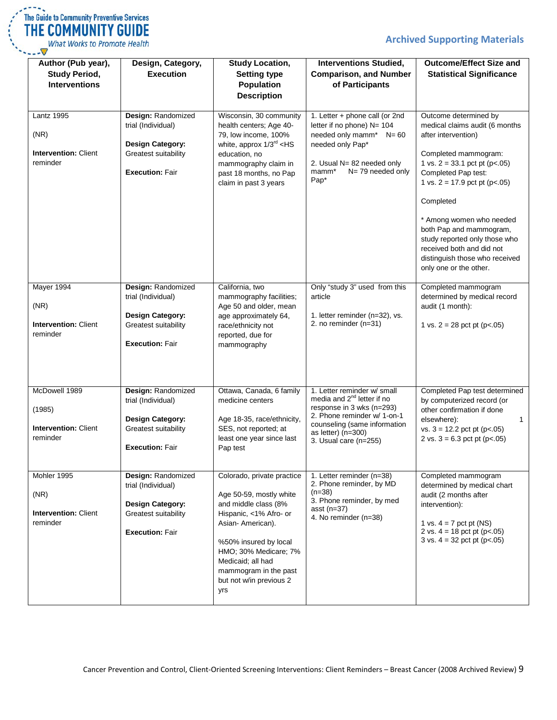| The Guide to Community Preventive Services |
|--------------------------------------------|
| THE COMMUNITY GUIDE                        |
| <b>What Works to Promote Health</b>        |
|                                            |

| Author (Pub year),<br><b>Study Period,</b><br><b>Interventions</b>   | Design, Category,<br><b>Execution</b>                                                                                 | <b>Study Location,</b><br><b>Setting type</b><br><b>Population</b><br><b>Description</b>                                                                                                                                                                      | <b>Interventions Studied,</b><br><b>Comparison, and Number</b><br>of Participants                                                                                                                                  | <b>Outcome/Effect Size and</b><br><b>Statistical Significance</b>                                                                                                                                                                                                                                                                                                                                 |
|----------------------------------------------------------------------|-----------------------------------------------------------------------------------------------------------------------|---------------------------------------------------------------------------------------------------------------------------------------------------------------------------------------------------------------------------------------------------------------|--------------------------------------------------------------------------------------------------------------------------------------------------------------------------------------------------------------------|---------------------------------------------------------------------------------------------------------------------------------------------------------------------------------------------------------------------------------------------------------------------------------------------------------------------------------------------------------------------------------------------------|
| <b>Lantz 1995</b><br>(NR)<br><b>Intervention: Client</b><br>reminder | Design: Randomized<br>trial (Individual)<br><b>Design Category:</b><br>Greatest suitability<br><b>Execution: Fair</b> | Wisconsin, 30 community<br>health centers; Age 40-<br>79, low income, 100%<br>white, approx $1/3^{rd}$ <hs<br>education, no<br/>mammography claim in<br/>past 18 months, no Pap<br/>claim in past 3 years</hs<br>                                             | 1. Letter + phone call (or 2nd<br>letter if no phone) N= 104<br>needed only mamm* N= 60<br>needed only Pap*<br>2. Usual N= 82 needed only<br>N=79 needed only<br>mamm*<br>Pap <sup>*</sup>                         | Outcome determined by<br>medical claims audit (6 months<br>after intervention)<br>Completed mammogram:<br>1 vs. $2 = 33.1$ pct pt (p<.05)<br>Completed Pap test:<br>1 vs. $2 = 17.9$ pct pt (p<.05)<br>Completed<br>* Among women who needed<br>both Pap and mammogram,<br>study reported only those who<br>received both and did not<br>distinguish those who received<br>only one or the other. |
| Mayer 1994<br>(NR)<br><b>Intervention: Client</b><br>reminder        | Design: Randomized<br>trial (Individual)<br><b>Design Category:</b><br>Greatest suitability<br><b>Execution: Fair</b> | California, two<br>mammography facilities;<br>Age 50 and older, mean<br>age approximately 64,<br>race/ethnicity not<br>reported, due for<br>mammography                                                                                                       | Only "study 3" used from this<br>article<br>1. letter reminder (n=32), vs.<br>2. no reminder (n=31)                                                                                                                | Completed mammogram<br>determined by medical record<br>audit (1 month):<br>1 vs. $2 = 28$ pct pt (p<.05)                                                                                                                                                                                                                                                                                          |
| McDowell 1989<br>(1985)<br>Intervention: Client<br>reminder          | Design: Randomized<br>trial (Individual)<br><b>Design Category:</b><br>Greatest suitability<br><b>Execution: Fair</b> | Ottawa, Canada, 6 family<br>medicine centers<br>Age 18-35, race/ethnicity,<br>SES, not reported; at<br>least one year since last<br>Pap test                                                                                                                  | 1. Letter reminder w/ small<br>media and 2 <sup>nd</sup> letter if no<br>response in 3 wks (n=293)<br>2. Phone reminder w/ 1-on-1<br>counseling (same information<br>as letter) $(n=300)$<br>3. Usual care (n=255) | Completed Pap test determined<br>by computerized record (or<br>other confirmation if done<br>elsewhere):<br>1<br>vs. $3 = 12.2$ pct pt (p<.05)<br>2 vs. $3 = 6.3$ pct pt (p<.05)                                                                                                                                                                                                                  |
| Mohler 1995<br>(NR)<br><b>Intervention: Client</b><br>reminder       | Design: Randomized<br>trial (Individual)<br><b>Design Category:</b><br>Greatest suitability<br><b>Execution: Fair</b> | Colorado, private practice<br>Age 50-59, mostly white<br>and middle class (8%<br>Hispanic, <1% Afro- or<br>Asian-American).<br>%50% insured by local<br>HMO; 30% Medicare; 7%<br>Medicaid; all had<br>mammogram in the past<br>but not w/in previous 2<br>yrs | 1. Letter reminder (n=38)<br>2. Phone reminder, by MD<br>$(n=38)$<br>3. Phone reminder, by med<br>asst $(n=37)$<br>4. No reminder (n=38)                                                                           | Completed mammogram<br>determined by medical chart<br>audit (2 months after<br>intervention):<br>1 vs. $4 = 7$ pct pt (NS)<br>2 vs. $4 = 18$ pct pt (p<.05)<br>$3$ vs. $4 = 32$ pct pt (p<.05)                                                                                                                                                                                                    |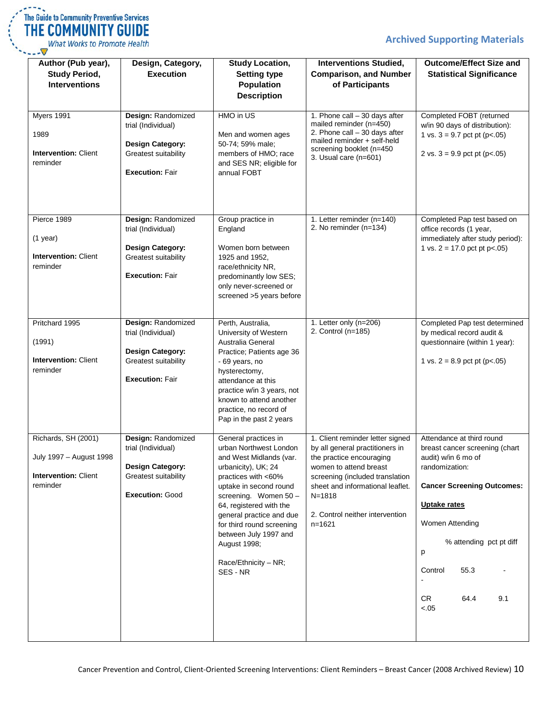| The Guide to Community Preventive Services |
|--------------------------------------------|
| THE COMMUNITY GUIDE                        |
| <b>What Works to Promote Health</b>        |
|                                            |

| Author (Pub year),<br><b>Study Period,</b><br><b>Interventions</b>                        | Design, Category,<br><b>Execution</b>                                                                                 | <b>Study Location,</b><br><b>Setting type</b><br>Population<br><b>Description</b>                                                                                                                                                                                                                                                           | <b>Interventions Studied,</b><br><b>Comparison, and Number</b><br>of Participants                                                                                                                                                                           | <b>Outcome/Effect Size and</b><br><b>Statistical Significance</b>                                                                                                                                                                                                     |
|-------------------------------------------------------------------------------------------|-----------------------------------------------------------------------------------------------------------------------|---------------------------------------------------------------------------------------------------------------------------------------------------------------------------------------------------------------------------------------------------------------------------------------------------------------------------------------------|-------------------------------------------------------------------------------------------------------------------------------------------------------------------------------------------------------------------------------------------------------------|-----------------------------------------------------------------------------------------------------------------------------------------------------------------------------------------------------------------------------------------------------------------------|
| Myers 1991<br>1989<br><b>Intervention: Client</b><br>reminder                             | Design: Randomized<br>trial (Individual)<br><b>Design Category:</b><br>Greatest suitability<br><b>Execution: Fair</b> | HMO in US<br>Men and women ages<br>50-74; 59% male;<br>members of HMO; race<br>and SES NR; eligible for<br>annual FOBT                                                                                                                                                                                                                      | 1. Phone call - 30 days after<br>mailed reminder (n=450)<br>2. Phone call - 30 days after<br>mailed reminder + self-held<br>screening booklet (n=450<br>3. Usual care (n=601)                                                                               | Completed FOBT (returned<br>w/in 90 days of distribution):<br>1 vs. $3 = 9.7$ pct pt (p<.05)<br>2 vs. $3 = 9.9$ pct pt (p<.05)                                                                                                                                        |
| Pierce 1989<br>$(1$ year)<br><b>Intervention: Client</b><br>reminder                      | Design: Randomized<br>trial (Individual)<br><b>Design Category:</b><br>Greatest suitability<br><b>Execution: Fair</b> | Group practice in<br>England<br>Women born between<br>1925 and 1952,<br>race/ethnicity NR,<br>predominantly low SES;<br>only never-screened or<br>screened >5 years before                                                                                                                                                                  | 1. Letter reminder (n=140)<br>2. No reminder (n=134)                                                                                                                                                                                                        | Completed Pap test based on<br>office records (1 year,<br>immediately after study period):<br>1 vs. $2 = 17.0$ pct pt p<.05)                                                                                                                                          |
| Pritchard 1995<br>(1991)<br><b>Intervention: Client</b><br>reminder                       | Design: Randomized<br>trial (Individual)<br><b>Design Category:</b><br>Greatest suitability<br><b>Execution: Fair</b> | Perth, Australia,<br>University of Western<br>Australia General<br>Practice; Patients age 36<br>- 69 years, no<br>hysterectomy,<br>attendance at this<br>practice w/in 3 years, not<br>known to attend another<br>practice, no record of<br>Pap in the past 2 years                                                                         | 1. Letter only (n=206)<br>2. Control (n=185)                                                                                                                                                                                                                | Completed Pap test determined<br>by medical record audit &<br>questionnaire (within 1 year):<br>1 vs. $2 = 8.9$ pct pt (p<.05)                                                                                                                                        |
| Richards, SH (2001)<br>July 1997 - August 1998<br><b>Intervention: Client</b><br>reminder | Design: Randomized<br>trial (Individual)<br><b>Design Category:</b><br>Greatest suitability<br><b>Execution: Good</b> | General practices in<br>urban Northwest London<br>and West Midlands (var.<br>urbanicity), UK; 24<br>practices with <60%<br>uptake in second round<br>screening. Women 50 -<br>64, registered with the<br>general practice and due<br>for third round screening<br>between July 1997 and<br>August 1998;<br>Race/Ethnicity - NR;<br>SES - NR | 1. Client reminder letter signed<br>by all general practitioners in<br>the practice encouraging<br>women to attend breast<br>screening (included translation<br>sheet and informational leaflet.<br>N=1818<br>2. Control neither intervention<br>$n = 1621$ | Attendance at third round<br>breast cancer screening (chart<br>audit) w/in 6 mo of<br>randomization:<br><b>Cancer Screening Outcomes:</b><br>Uptake rates<br>Women Attending<br>% attending pct pt diff<br>р<br>Control<br>55.3<br><b>CR</b><br>64.4<br>9.1<br>$-.05$ |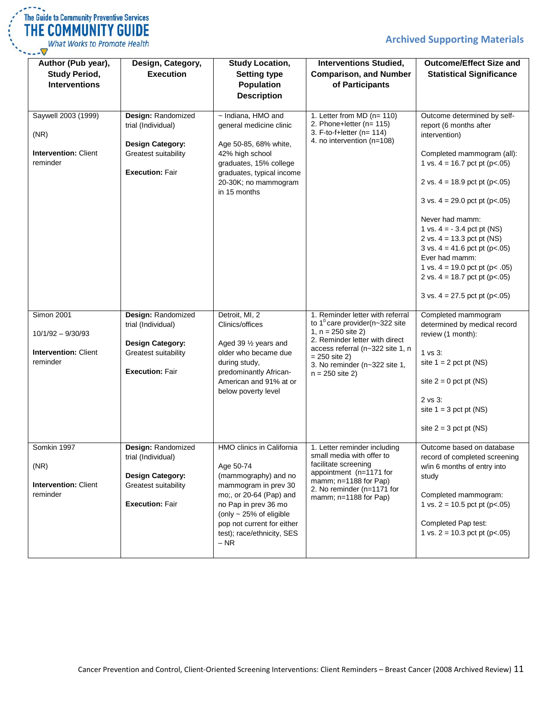**Outcome/Effect Size and Statistical Significance**

|  | The Guide to Community Preventive Services |  |
|--|--------------------------------------------|--|
|  | <b>THE COMMUNITY GUIDE</b>                 |  |
|  | What Works to Promote Health               |  |

| Author (Pub year),<br><b>Study Period,</b><br><b>Interventions</b> | Design, Category,<br><b>Execution</b>           | <b>Study Location,</b><br><b>Setting type</b><br><b>Population</b><br><b>Description</b> | <b>Interventions Studied,</b><br><b>Comparison, and Number</b><br>of Participants            |
|--------------------------------------------------------------------|-------------------------------------------------|------------------------------------------------------------------------------------------|----------------------------------------------------------------------------------------------|
| Saywell 2003 (1999)<br>(NR)                                        | <b>Design: Randomized</b><br>trial (Individual) | ~ Indiana, HMO and<br>general medicine clinic                                            | 1. Letter from $MD (n = 110)$<br>2. Phone+letter ( $n=115$ )<br>3. F-to-f+letter ( $n=114$ ) |
| <b>Intervention: Client</b><br>reminder                            | <b>Design Category:</b><br>Greatest suitability | Age 50-85, 68% white,<br>42% high school<br>graduates, 15% college                       | 4. no intervention (n=108)                                                                   |
|                                                                    | <b>Execution: Fair</b>                          | graduates, typical income<br>20-30K; no mammogram<br>in 15 months                        |                                                                                              |
|                                                                    |                                                 |                                                                                          |                                                                                              |

| Saywell 2003 (1999)<br>(NR)<br><b>Intervention: Client</b><br>reminder              | Design: Randomized<br>trial (Individual)<br><b>Design Category:</b><br>Greatest suitability<br><b>Execution: Fair</b> | ~ Indiana, HMO and<br>general medicine clinic<br>Age 50-85, 68% white,<br>42% high school<br>graduates, 15% college<br>graduates, typical income<br>20-30K; no mammogram<br>in 15 months                                                        | 1. Letter from $MD (n= 110)$<br>2. Phone+letter ( $n = 115$ )<br>3. F-to-f+letter ( $n = 114$ )<br>4. no intervention (n=108)                                                                                                                       | Outcome determined by self-<br>report (6 months after<br>intervention)<br>Completed mammogram (all):<br>1 vs. $4 = 16.7$ pct pt (p<.05)<br>2 vs. $4 = 18.9$ pct pt (p<.05)<br>$3$ vs. $4 = 29.0$ pct pt (p<.05)<br>Never had mamm:<br>1 vs. $4 = -3.4$ pct pt (NS)<br>2 vs. $4 = 13.3$ pct pt (NS)<br>$3$ vs. $4 = 41.6$ pct pt (p<.05)<br>Ever had mamm:<br>1 vs. $4 = 19.0$ pct pt (p< .05)<br>2 vs. $4 = 18.7$ pct pt (p<.05)<br>$3 \text{ vs. } 4 = 27.5 \text{ pot pt (p<.05)}$ |
|-------------------------------------------------------------------------------------|-----------------------------------------------------------------------------------------------------------------------|-------------------------------------------------------------------------------------------------------------------------------------------------------------------------------------------------------------------------------------------------|-----------------------------------------------------------------------------------------------------------------------------------------------------------------------------------------------------------------------------------------------------|--------------------------------------------------------------------------------------------------------------------------------------------------------------------------------------------------------------------------------------------------------------------------------------------------------------------------------------------------------------------------------------------------------------------------------------------------------------------------------------|
| <b>Simon 2001</b><br>$10/1/92 - 9/30/93$<br><b>Intervention: Client</b><br>reminder | Design: Randomized<br>trial (Individual)<br><b>Design Category:</b><br>Greatest suitability<br><b>Execution: Fair</b> | Detroit, MI, 2<br>Clinics/offices<br>Aged 39 1/2 years and<br>older who became due<br>during study,<br>predominantly African-<br>American and 91% at or<br>below poverty level                                                                  | 1. Reminder letter with referral<br>to 1 $^{\circ}$ care provider(n~322 site<br>1, $n = 250$ site 2)<br>2. Reminder letter with direct<br>access referral (n~322 site 1, n<br>$= 250$ site 2)<br>3. No reminder (n~322 site 1,<br>$n = 250$ site 2) | Completed mammogram<br>determined by medical record<br>review (1 month):<br>1 vs 3:<br>site $1 = 2$ pct pt (NS)<br>site $2 = 0$ pct pt (NS)<br>$2$ vs $3$ :<br>site $1 = 3$ pct pt (NS)<br>site $2 = 3$ pct pt (NS)                                                                                                                                                                                                                                                                  |
| Somkin 1997<br>(NR)<br><b>Intervention: Client</b><br>reminder                      | Design: Randomized<br>trial (Individual)<br>Design Category:<br>Greatest suitability<br><b>Execution: Fair</b>        | HMO clinics in California<br>Age 50-74<br>(mammography) and no<br>mammogram in prev 30<br>mo;, or 20-64 (Pap) and<br>no Pap in prev 36 mo<br>(only $\sim$ 25% of eligible<br>pop not current for either<br>test); race/ethnicity, SES<br>$- NR$ | 1. Letter reminder including<br>small media with offer to<br>facilitate screening<br>appointment (n=1171 for<br>mamm; $n=1188$ for Pap)<br>2. No reminder (n=1171 for<br>mamm; $n=1188$ for Pap)                                                    | Outcome based on database<br>record of completed screening<br>w/in 6 months of entry into<br>study<br>Completed mammogram:<br>1 vs. $2 = 10.5$ pct pt (p<.05)<br>Completed Pap test:<br>1 vs. $2 = 10.3$ pct pt (p<.05)                                                                                                                                                                                                                                                              |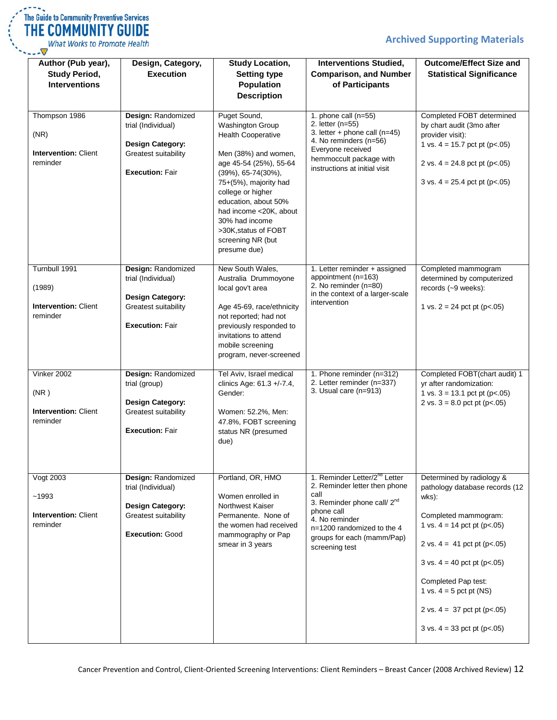

What Works to Promote Health  $\overline{\nabla}$ --- $\overline{\nabla}$ 

| Author (Pub year),<br><b>Study Period,</b><br><b>Interventions</b> | Design, Category,<br><b>Execution</b>                                                                                 | <b>Study Location,</b><br><b>Setting type</b><br><b>Population</b><br><b>Description</b>                                                                                                                                                                                                                                             | <b>Interventions Studied,</b><br><b>Comparison, and Number</b><br>of Participants                                                                                                                                                           | <b>Outcome/Effect Size and</b><br><b>Statistical Significance</b>                                                                                                                                                                                                                                                                         |
|--------------------------------------------------------------------|-----------------------------------------------------------------------------------------------------------------------|--------------------------------------------------------------------------------------------------------------------------------------------------------------------------------------------------------------------------------------------------------------------------------------------------------------------------------------|---------------------------------------------------------------------------------------------------------------------------------------------------------------------------------------------------------------------------------------------|-------------------------------------------------------------------------------------------------------------------------------------------------------------------------------------------------------------------------------------------------------------------------------------------------------------------------------------------|
| Thompson 1986<br>(NR)<br><b>Intervention: Client</b><br>reminder   | Design: Randomized<br>trial (Individual)<br><b>Design Category:</b><br>Greatest suitability<br><b>Execution: Fair</b> | Puget Sound,<br><b>Washington Group</b><br><b>Health Cooperative</b><br>Men (38%) and women,<br>age 45-54 (25%), 55-64<br>$(39\%)$ , 65-74 $(30\%)$ ,<br>75+(5%), majority had<br>college or higher<br>education, about 50%<br>had income <20K, about<br>30% had income<br>>30K, status of FOBT<br>screening NR (but<br>presume due) | 1. phone call $(n=55)$<br>2. letter (n=55)<br>3. letter + phone call $(n=45)$<br>4. No reminders (n=56)<br>Everyone received<br>hemmoccult package with<br>instructions at initial visit                                                    | Completed FOBT determined<br>by chart audit (3mo after<br>provider visit):<br>1 vs. $4 = 15.7$ pct pt (p<.05)<br>2 vs. $4 = 24.8$ pct pt (p<.05)<br>$3 \text{ vs. } 4 = 25.4 \text{ pot pt } (p < .05)$                                                                                                                                   |
| Turnbull 1991<br>(1989)<br><b>Intervention: Client</b><br>reminder | Design: Randomized<br>trial (Individual)<br><b>Design Category:</b><br>Greatest suitability<br><b>Execution: Fair</b> | New South Wales,<br>Australia Drummoyone<br>local gov't area<br>Age 45-69, race/ethnicity<br>not reported; had not<br>previously responded to<br>invitations to attend<br>mobile screening<br>program, never-screened                                                                                                                | 1. Letter reminder + assigned<br>appointment (n=163)<br>2. No reminder (n=80)<br>in the context of a larger-scale<br>intervention                                                                                                           | Completed mammogram<br>determined by computerized<br>records (~9 weeks):<br>1 vs. $2 = 24$ pct pt (p<.05)                                                                                                                                                                                                                                 |
| Vinker 2002<br>(NR)<br><b>Intervention: Client</b><br>reminder     | Design: Randomized<br>trial (group)<br><b>Design Category:</b><br>Greatest suitability<br><b>Execution: Fair</b>      | Tel Aviv, Israel medical<br>clinics Age: 61.3 +/-7.4,<br>Gender:<br>Women: 52.2%, Men:<br>47.8%, FOBT screening<br>status NR (presumed<br>due)                                                                                                                                                                                       | 1. Phone reminder (n=312)<br>2. Letter reminder (n=337)<br>3. Usual care $(n=913)$                                                                                                                                                          | Completed FOBT(chart audit) 1<br>yr after randomization:<br>1 vs. $3 = 13.1$ pct pt (p<.05)<br>2 vs. $3 = 8.0$ pct pt (p<.05)                                                                                                                                                                                                             |
| Vogt 2003<br>~1993<br><b>Intervention: Client</b><br>reminder      | Design: Randomized<br>trial (Individual)<br><b>Design Category:</b><br>Greatest suitability<br>Execution: Good        | Portland, OR, HMO<br>Women enrolled in<br>Northwest Kaiser<br>Permanente. None of<br>the women had received<br>mammography or Pap<br>smear in 3 years                                                                                                                                                                                | 1. Reminder Letter/2 <sup>nd</sup> Letter<br>2. Reminder letter then phone<br>call<br>3. Reminder phone call/ 2 <sup>nd</sup><br>phone call<br>4. No reminder<br>n=1200 randomized to the 4<br>groups for each (mamm/Pap)<br>screening test | Determined by radiology &<br>pathology database records (12<br>wks):<br>Completed mammogram:<br>1 vs. $4 = 14$ pct pt (p<.05)<br>2 vs. $4 = 41$ pct pt (p<.05)<br>$3 \text{ vs. } 4 = 40 \text{ pot pt } (p < .05)$<br>Completed Pap test:<br>1 vs. $4 = 5$ pct pt (NS)<br>2 vs. $4 = 37$ pct pt (p<.05)<br>3 vs. $4 = 33$ pct pt (p<.05) |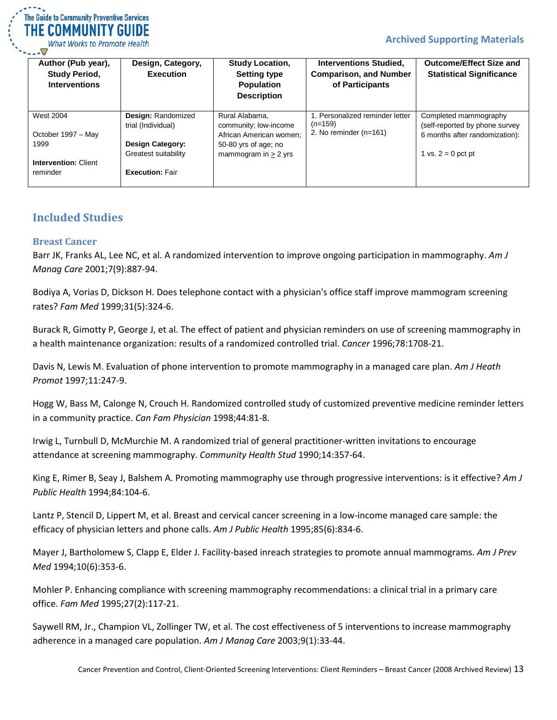

**What Works to Promote Health** 

| Author (Pub year),<br><b>Study Period,</b><br><b>Interventions</b> | Design, Category,<br><b>Execution</b> | <b>Study Location,</b><br><b>Setting type</b><br><b>Population</b><br><b>Description</b> | <b>Interventions Studied,</b><br><b>Comparison, and Number</b><br>of Participants | <b>Outcome/Effect Size and</b><br><b>Statistical Significance</b> |
|--------------------------------------------------------------------|---------------------------------------|------------------------------------------------------------------------------------------|-----------------------------------------------------------------------------------|-------------------------------------------------------------------|
| <b>West 2004</b>                                                   | <b>Design: Randomized</b>             | Rural Alabama,                                                                           | 1. Personalized reminder letter                                                   | Completed mammography                                             |
|                                                                    | trial (Individual)                    | community; low-income                                                                    | $(n=159)$                                                                         | (self-reported by phone survey                                    |
| October 1997 - May                                                 |                                       | African American women:                                                                  | 2. No reminder $(n=161)$                                                          | 6 months after randomization):                                    |
| 1999                                                               | <b>Design Category:</b>               | 50-80 yrs of age; no                                                                     |                                                                                   |                                                                   |
|                                                                    | Greatest suitability                  | mammogram in $> 2$ yrs                                                                   |                                                                                   | 1 vs. $2 = 0$ pct pt                                              |
| <b>Intervention: Client</b>                                        |                                       |                                                                                          |                                                                                   |                                                                   |
| reminder                                                           | <b>Execution: Fair</b>                |                                                                                          |                                                                                   |                                                                   |
|                                                                    |                                       |                                                                                          |                                                                                   |                                                                   |

#### <span id="page-12-0"></span>**Included Studies**

#### <span id="page-12-1"></span>**Breast Cancer**

Barr JK, Franks AL, Lee NC, et al. A randomized intervention to improve ongoing participation in mammography. *Am J Manag Care* 2001;7(9):887-94.

Bodiya A, Vorias D, Dickson H. Does telephone contact with a physician's office staff improve mammogram screening rates? *Fam Med* 1999;31(5):324-6.

Burack R, Gimotty P, George J, et al. The effect of patient and physician reminders on use of screening mammography in a health maintenance organization: results of a randomized controlled trial. *Cancer* 1996;78:1708-21.

Davis N, Lewis M. Evaluation of phone intervention to promote mammography in a managed care plan. *Am J Heath Promot* 1997;11:247-9.

Hogg W, Bass M, Calonge N, Crouch H. Randomized controlled study of customized preventive medicine reminder letters in a community practice. *Can Fam Physician* 1998;44:81-8.

Irwig L, Turnbull D, McMurchie M. A randomized trial of general practitioner-written invitations to encourage attendance at screening mammography. *Community Health Stud* 1990;14:357-64.

King E, Rimer B, Seay J, Balshem A. Promoting mammography use through progressive interventions: is it effective? *Am J Public Health* 1994;84:104-6.

Lantz P, Stencil D, Lippert M, et al. Breast and cervical cancer screening in a low-income managed care sample: the efficacy of physician letters and phone calls. *Am J Public Health* 1995;85(6):834-6.

Mayer J, Bartholomew S, Clapp E, Elder J. Facility-based inreach strategies to promote annual mammograms. *Am J Prev Med* 1994;10(6):353-6.

Mohler P. Enhancing compliance with screening mammography recommendations: a clinical trial in a primary care office. *Fam Med* 1995;27(2):117-21.

Saywell RM, Jr., Champion VL, Zollinger TW, et al. The cost effectiveness of 5 interventions to increase mammography adherence in a managed care population. *Am J Manag Care* 2003;9(1):33-44.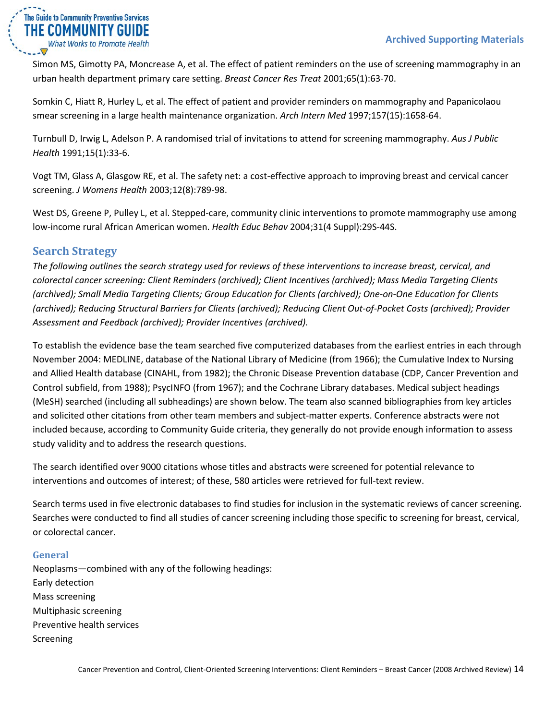

Simon MS, Gimotty PA, Moncrease A, et al. The effect of patient reminders on the use of screening mammography in an urban health department primary care setting. *Breast Cancer Res Treat* 2001;65(1):63-70.

Somkin C, Hiatt R, Hurley L, et al. The effect of patient and provider reminders on mammography and Papanicolaou smear screening in a large health maintenance organization. *Arch Intern Med* 1997;157(15):1658-64.

Turnbull D, Irwig L, Adelson P. A randomised trial of invitations to attend for screening mammography. *Aus J Public Health* 1991;15(1):33-6.

Vogt TM, Glass A, Glasgow RE, et al. The safety net: a cost-effective approach to improving breast and cervical cancer screening. *J Womens Health* 2003;12(8):789-98.

West DS, Greene P, Pulley L, et al. Stepped-care, community clinic interventions to promote mammography use among low-income rural African American women. *Health Educ Behav* 2004;31(4 Suppl):29S-44S.

## <span id="page-13-0"></span>**Search Strategy**

*The following outlines the search strategy used for reviews of these interventions to increase breast, cervical, and colorectal cancer screening: Client Reminders (archived); Client Incentives (archived); Mass Media Targeting Clients (archived); Small Media Targeting Clients; Group Education for Clients (archived); One-on-One Education for Clients (archived); Reducing Structural Barriers for Clients (archived); Reducing Client Out-of-Pocket Costs (archived); Provider Assessment and Feedback (archived); Provider Incentives (archived).*

To establish the evidence base the team searched five computerized databases from the earliest entries in each through November 2004: MEDLINE, database of the National Library of Medicine (from 1966); the Cumulative Index to Nursing and Allied Health database (CINAHL, from 1982); the Chronic Disease Prevention database (CDP, Cancer Prevention and Control subfield, from 1988); PsycINFO (from 1967); and the Cochrane Library databases. Medical subject headings (MeSH) searched (including all subheadings) are shown below. The team also scanned bibliographies from key articles and solicited other citations from other team members and subject-matter experts. Conference abstracts were not included because, according to Community Guide criteria, they generally do not provide enough information to assess study validity and to address the research questions.

The search identified over 9000 citations whose titles and abstracts were screened for potential relevance to interventions and outcomes of interest; of these, 580 articles were retrieved for full-text review.

Search terms used in five electronic databases to find studies for inclusion in the systematic reviews of cancer screening. Searches were conducted to find all studies of cancer screening including those specific to screening for breast, cervical, or colorectal cancer.

#### <span id="page-13-1"></span>**General**

Neoplasms—combined with any of the following headings: Early detection Mass screening Multiphasic screening Preventive health services Screening